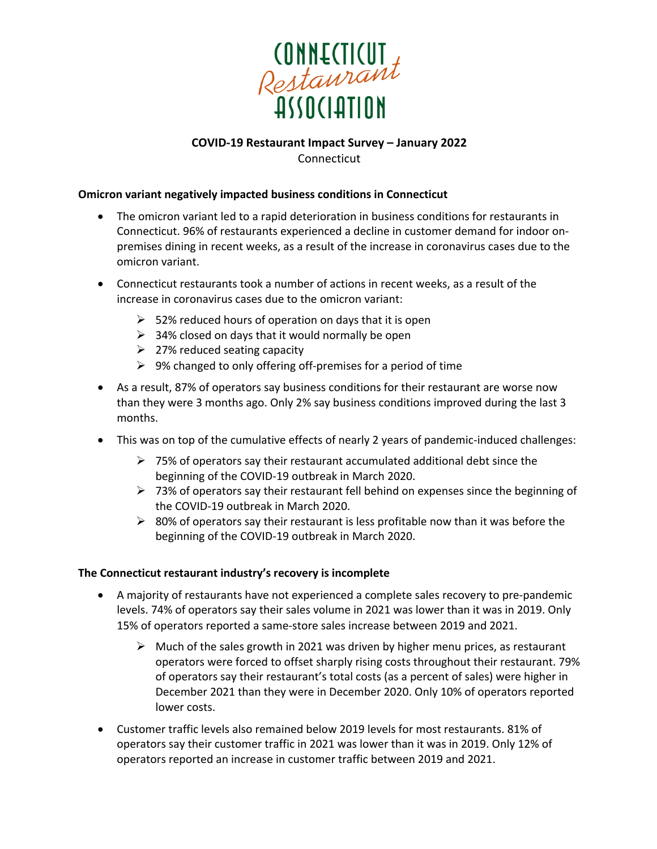

## **COVID-19 Restaurant Impact Survey – January 2022** Connecticut

#### **Omicron variant negatively impacted business conditions in Connecticut**

- The omicron variant led to a rapid deterioration in business conditions for restaurants in Connecticut. 96% of restaurants experienced a decline in customer demand for indoor onpremises dining in recent weeks, as a result of the increase in coronavirus cases due to the omicron variant.
- Connecticut restaurants took a number of actions in recent weeks, as a result of the increase in coronavirus cases due to the omicron variant:
	- $\geq$  52% reduced hours of operation on days that it is open
	- $\geq$  34% closed on days that it would normally be open
	- $\geq$  27% reduced seating capacity
	- $\triangleright$  9% changed to only offering off-premises for a period of time
- As a result, 87% of operators say business conditions for their restaurant are worse now than they were 3 months ago. Only 2% say business conditions improved during the last 3 months.
- This was on top of the cumulative effects of nearly 2 years of pandemic-induced challenges:
	- $\triangleright$  75% of operators say their restaurant accumulated additional debt since the beginning of the COVID-19 outbreak in March 2020.
	- $\triangleright$  73% of operators say their restaurant fell behind on expenses since the beginning of the COVID-19 outbreak in March 2020.
	- $\triangleright$  80% of operators say their restaurant is less profitable now than it was before the beginning of the COVID-19 outbreak in March 2020.

## **The Connecticut restaurant industry's recovery is incomplete**

- A majority of restaurants have not experienced a complete sales recovery to pre-pandemic levels. 74% of operators say their sales volume in 2021 was lower than it was in 2019. Only 15% of operators reported a same-store sales increase between 2019 and 2021.
	- $\triangleright$  Much of the sales growth in 2021 was driven by higher menu prices, as restaurant operators were forced to offset sharply rising costs throughout their restaurant. 79% of operators say their restaurant's total costs (as a percent of sales) were higher in December 2021 than they were in December 2020. Only 10% of operators reported lower costs.
- Customer traffic levels also remained below 2019 levels for most restaurants. 81% of operators say their customer traffic in 2021 was lower than it was in 2019. Only 12% of operators reported an increase in customer traffic between 2019 and 2021.